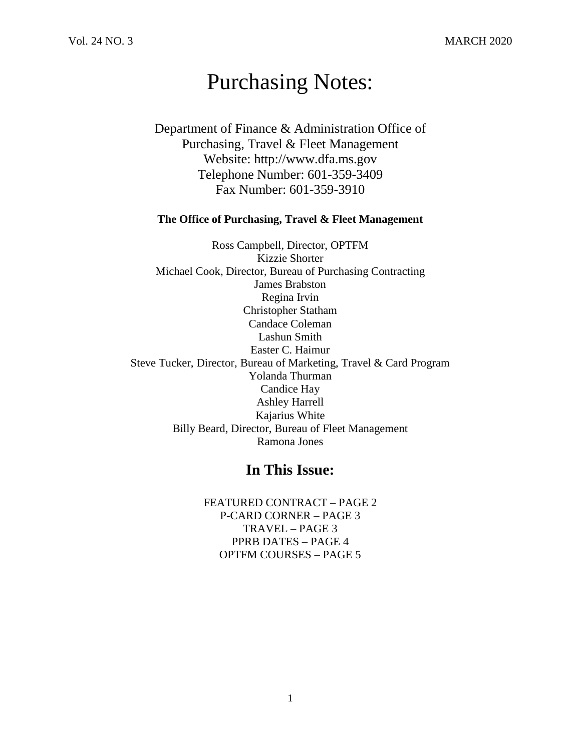# Purchasing Notes:

Department of Finance & Administration Office of Purchasing, Travel & Fleet Management Website: http://www.dfa.ms.gov Telephone Number: 601-359-3409 Fax Number: 601-359-3910

#### **The Office of Purchasing, Travel & Fleet Management**

Ross Campbell, Director, OPTFM Kizzie Shorter Michael Cook, Director, Bureau of Purchasing Contracting James Brabston Regina Irvin Christopher Statham Candace Coleman Lashun Smith Easter C. Haimur Steve Tucker, Director, Bureau of Marketing, Travel & Card Program Yolanda Thurman Candice Hay Ashley Harrell Kajarius White Billy Beard, Director, Bureau of Fleet Management Ramona Jones

## **In This Issue:**

FEATURED CONTRACT – PAGE 2 P-CARD CORNER – PAGE 3 TRAVEL – PAGE 3 PPRB DATES – PAGE 4 OPTFM COURSES – PAGE 5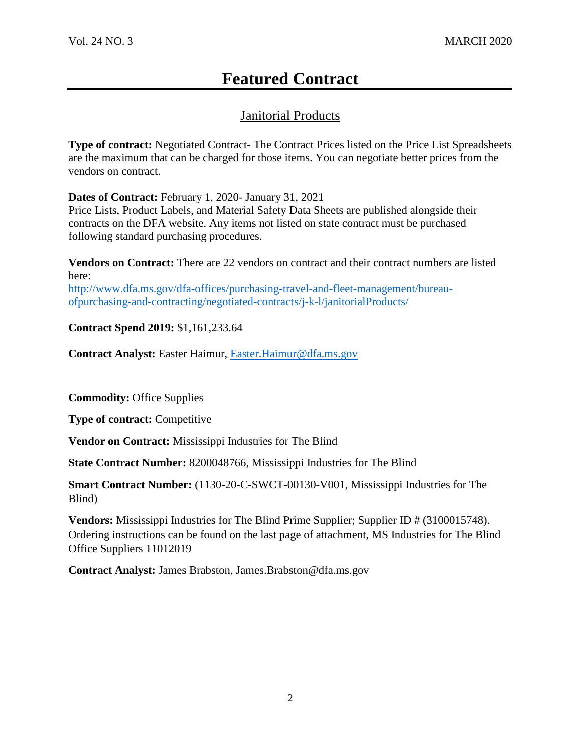# **Featured Contract**

## Janitorial Products

**Type of contract:** Negotiated Contract- The Contract Prices listed on the Price List Spreadsheets are the maximum that can be charged for those items. You can negotiate better prices from the vendors on contract.

**Dates of Contract:** February 1, 2020- January 31, 2021

Price Lists, Product Labels, and Material Safety Data Sheets are published alongside their contracts on the DFA website. Any items not listed on state contract must be purchased following standard purchasing procedures.

**Vendors on Contract:** There are 22 vendors on contract and their contract numbers are listed here: [http://www.dfa.ms.gov/dfa-offices/purchasing-travel-and-fleet-management/bureau](http://www.dfa.ms.gov/dfa-offices/purchasing-travel-and-fleet-management/bureau-ofpurchasing-and-contracting/negotiated-contracts/j-k-l/janitorialProducts/)[ofpurchasing-and-contracting/negotiated-contracts/j-k-l/janitorialProducts/](http://www.dfa.ms.gov/dfa-offices/purchasing-travel-and-fleet-management/bureau-ofpurchasing-and-contracting/negotiated-contracts/j-k-l/janitorialProducts/)

**Contract Spend 2019:** \$1,161,233.64

**Contract Analyst:** Easter Haimur, [Easter.Haimur@dfa.ms.gov](mailto:Easter.Haimur@dfa.ms.gov)

**Commodity:** Office Supplies

**Type of contract:** Competitive

**Vendor on Contract:** Mississippi Industries for The Blind

**State Contract Number:** 8200048766, Mississippi Industries for The Blind

**Smart Contract Number:** (1130-20-C-SWCT-00130-V001, Mississippi Industries for The Blind)

**Vendors:** Mississippi Industries for The Blind Prime Supplier; Supplier ID # (3100015748). Ordering instructions can be found on the last page of attachment, MS Industries for The Blind Office Suppliers 11012019

**Contract Analyst:** James Brabston, James.Brabston@dfa.ms.gov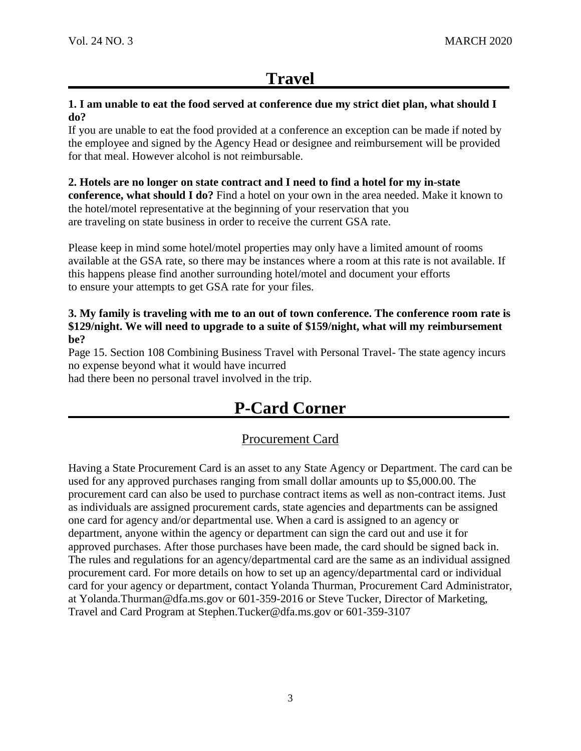# **Travel**

#### **1. I am unable to eat the food served at conference due my strict diet plan, what should I do?**

If you are unable to eat the food provided at a conference an exception can be made if noted by the employee and signed by the Agency Head or designee and reimbursement will be provided for that meal. However alcohol is not reimbursable.

## **2. Hotels are no longer on state contract and I need to find a hotel for my in-state**

**conference, what should I do?** Find a hotel on your own in the area needed. Make it known to the hotel/motel representative at the beginning of your reservation that you are traveling on state business in order to receive the current GSA rate.

Please keep in mind some hotel/motel properties may only have a limited amount of rooms available at the GSA rate, so there may be instances where a room at this rate is not available. If this happens please find another surrounding hotel/motel and document your efforts to ensure your attempts to get GSA rate for your files.

#### **3. My family is traveling with me to an out of town conference. The conference room rate is \$129/night. We will need to upgrade to a suite of \$159/night, what will my reimbursement be?**

Page 15. Section 108 Combining Business Travel with Personal Travel- The state agency incurs no expense beyond what it would have incurred

had there been no personal travel involved in the trip.

# **P-Card Corner**

## Procurement Card

Having a State Procurement Card is an asset to any State Agency or Department. The card can be used for any approved purchases ranging from small dollar amounts up to \$5,000.00. The procurement card can also be used to purchase contract items as well as non-contract items. Just as individuals are assigned procurement cards, state agencies and departments can be assigned one card for agency and/or departmental use. When a card is assigned to an agency or department, anyone within the agency or department can sign the card out and use it for approved purchases. After those purchases have been made, the card should be signed back in. The rules and regulations for an agency/departmental card are the same as an individual assigned procurement card. For more details on how to set up an agency/departmental card or individual card for your agency or department, contact Yolanda Thurman, Procurement Card Administrator, at Yolanda.Thurman@dfa.ms.gov or 601-359-2016 or Steve Tucker, Director of Marketing, Travel and Card Program at Stephen.Tucker@dfa.ms.gov or 601-359-3107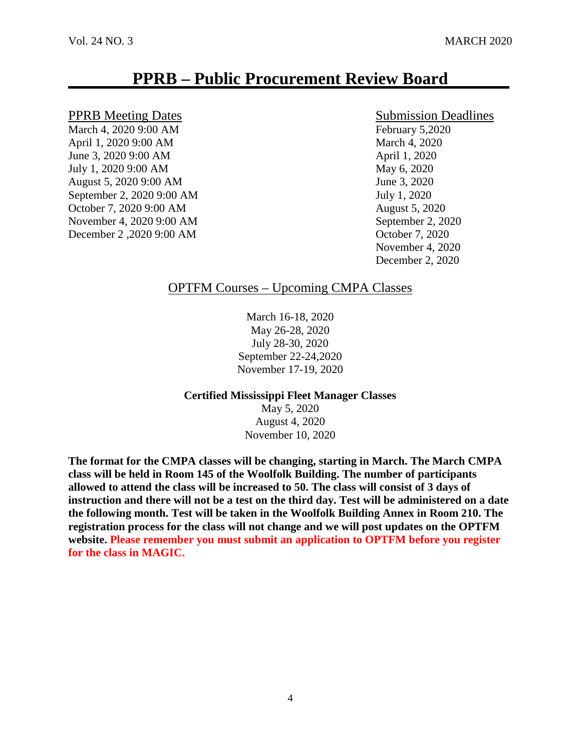# **PPRB – Public Procurement Review Board**

#### PPRB Meeting Dates Submission Deadlines

March 4, 2020 9:00 AM February 5,2020 April 1, 2020 9:00 AM March 4, 2020 June 3, 2020 9:00 AM April 1, 2020 July 1, 2020 9:00 AM May 6, 2020 August 5, 2020 9:00 AM June 3, 2020 September 2, 2020 9:00 AM July 1, 2020 October 7, 2020 9:00 AM August 5, 2020 November 4, 2020 9:00 AM September 2, 2020 December 2 ,2020 9:00 AM October 7, 2020

November 4, 2020 December 2, 2020

## OPTFM Courses – Upcoming CMPA Classes

March 16-18, 2020 May 26-28, 2020 July 28-30, 2020 September 22-24,2020 November 17-19, 2020

**Certified Mississippi Fleet Manager Classes** May 5, 2020

August 4, 2020 November 10, 2020

**The format for the CMPA classes will be changing, starting in March. The March CMPA class will be held in Room 145 of the Woolfolk Building. The number of participants allowed to attend the class will be increased to 50. The class will consist of 3 days of instruction and there will not be a test on the third day. Test will be administered on a date the following month. Test will be taken in the Woolfolk Building Annex in Room 210. The registration process for the class will not change and we will post updates on the OPTFM website. Please remember you must submit an application to OPTFM before you register for the class in MAGIC.**